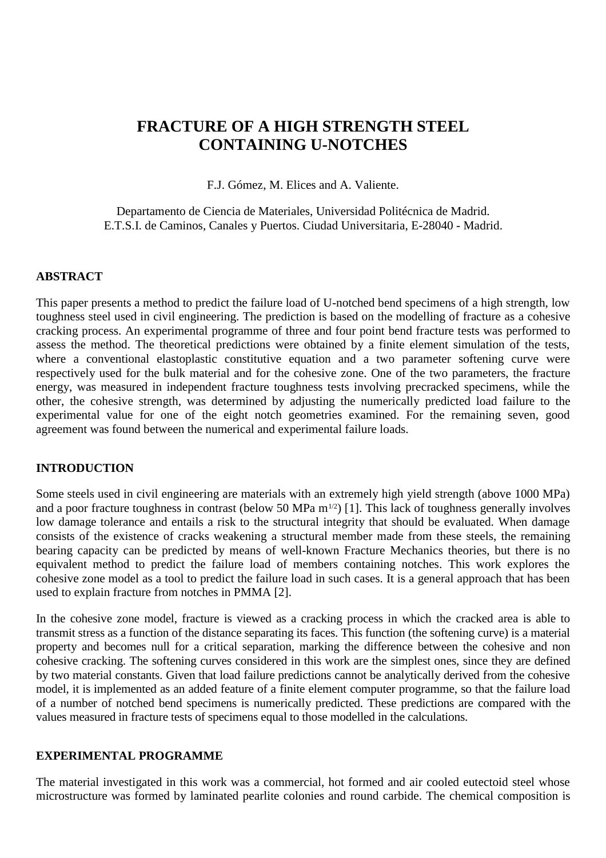# **FRACTURE OF A HIGH STRENGTH STEEL CONTAINING U-NOTCHES**

F.J. Gómez, M. Elices and A. Valiente.

Departamento de Ciencia de Materiales, Universidad Politécnica de Madrid. E.T.S.I. de Caminos, Canales y Puertos. Ciudad Universitaria, E-28040 - Madrid.

# **ABSTRACT**

This paper presents a method to predict the failure load of U-notched bend specimens of a high strength, low toughness steel used in civil engineering. The prediction is based on the modelling of fracture as a cohesive cracking process. An experimental programme of three and four point bend fracture tests was performed to assess the method. The theoretical predictions were obtained by a finite element simulation of the tests, where a conventional elastoplastic constitutive equation and a two parameter softening curve were respectively used for the bulk material and for the cohesive zone. One of the two parameters, the fracture energy, was measured in independent fracture toughness tests involving precracked specimens, while the other, the cohesive strength, was determined by adjusting the numerically predicted load failure to the experimental value for one of the eight notch geometries examined. For the remaining seven, good agreement was found between the numerical and experimental failure loads.

## **INTRODUCTION**

Some steels used in civil engineering are materials with an extremely high yield strength (above 1000 MPa) and a poor fracture toughness in contrast (below 50 MPa  $m^{1/2}$ ) [1]. This lack of toughness generally involves low damage tolerance and entails a risk to the structural integrity that should be evaluated. When damage consists of the existence of cracks weakening a structural member made from these steels, the remaining bearing capacity can be predicted by means of well-known Fracture Mechanics theories, but there is no equivalent method to predict the failure load of members containing notches. This work explores the cohesive zone model as a tool to predict the failure load in such cases. It is a general approach that has been used to explain fracture from notches in PMMA [2].

In the cohesive zone model, fracture is viewed as a cracking process in which the cracked area is able to transmit stress as a function of the distance separating its faces. This function (the softening curve) is a material property and becomes null for a critical separation, marking the difference between the cohesive and non cohesive cracking. The softening curves considered in this work are the simplest ones, since they are defined by two material constants. Given that load failure predictions cannot be analytically derived from the cohesive model, it is implemented as an added feature of a finite element computer programme, so that the failure load of a number of notched bend specimens is numerically predicted. These predictions are compared with the values measured in fracture tests of specimens equal to those modelled in the calculations.

# **EXPERIMENTAL PROGRAMME**

The material investigated in this work was a commercial, hot formed and air cooled eutectoid steel whose microstructure was formed by laminated pearlite colonies and round carbide. The chemical composition is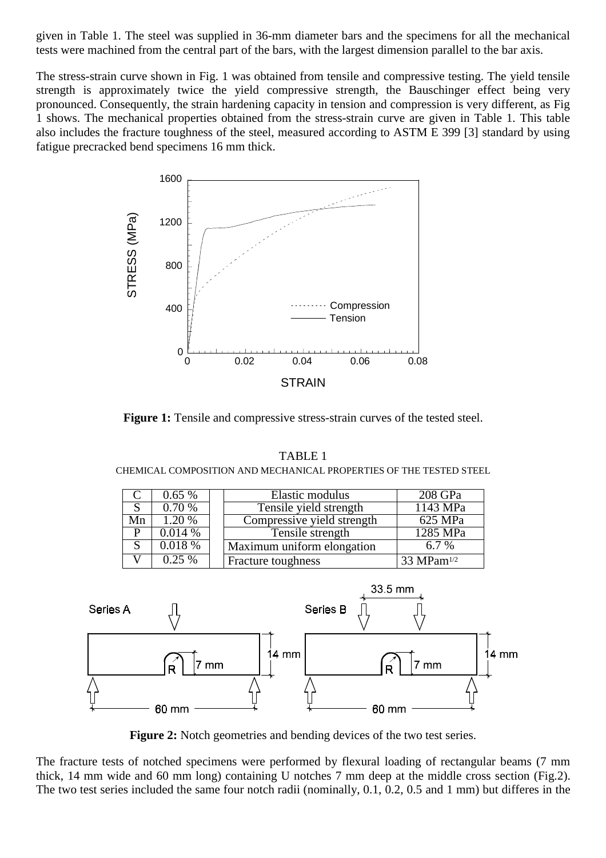given in Table 1. The steel was supplied in 36-mm diameter bars and the specimens for all the mechanical tests were machined from the central part of the bars, with the largest dimension parallel to the bar axis.

The stress-strain curve shown in Fig. 1 was obtained from tensile and compressive testing. The yield tensile strength is approximately twice the yield compressive strength, the Bauschinger effect being very pronounced. Consequently, the strain hardening capacity in tension and compression is very different, as Fig 1 shows. The mechanical properties obtained from the stress-strain curve are given in Table 1. This table also includes the fracture toughness of the steel, measured according to ASTM E 399 [3] standard by using fatigue precracked bend specimens 16 mm thick.



**Figure 1:** Tensile and compressive stress-strain curves of the tested steel.

TABLE 1

CHEMICAL COMPOSITION AND MECHANICAL PROPERTIES OF THE TESTED STEEL C 0.65 % Elastic modulus 208 GPa<br>S 0.70 % Tensile yield strength 1143 MPa Tensile yield strength Mn 1.20 % Compressive yield strength 625 MPa  $\begin{array}{|c|c|c|c|c|c|}\n\hline\n P & 0.014 \% & \text{Tensile strength} & 1285 MPa \\
\hline\n S & 0.018 \% & \text{Maximum uniform elongation} & 6.7 \% & \hline\n\end{array}$  $0.018\%$  | Maximum uniform elongation | 6.7 %  $V \begin{array}{|c|c|} \hline 0.25\% & \text{Fracture toughness} \hline \end{array}$  33 MPam<sup>1/2</sup> 33.5 mm **Series B** 



Figure 2: Notch geometries and bending devices of the two test series.

60 mm

60 mm

The fracture tests of notched specimens were performed by flexural loading of rectangular beams (7 mm thick, 14 mm wide and 60 mm long) containing U notches 7 mm deep at the middle cross section (Fig.2). The two test series included the same four notch radii (nominally, 0.1, 0.2, 0.5 and 1 mm) but differes in the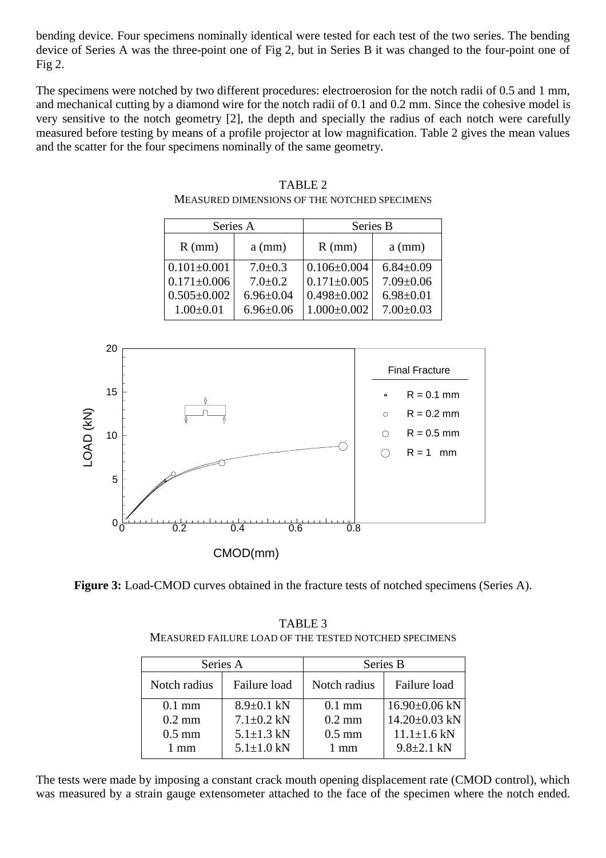bending device. Four specimens nominally identical were tested for each test of the two series. The bending device of Series A was the three-point one of Fig 2, but in Series B it was changed to the four-point one of Fig 2.

The specimens were notched by two different procedures: electroerosion for the notch radii of 0.5 and 1 mm, and mechanical cutting by a diamond wire for the notch radii of 0.1 and 0.2 mm. Since the cohesive model is very sensitive to the notch geometry [2], the depth and specially the radius of each notch were carefully measured before testing by means of a profile projector at low magnification. Table 2 gives the mean values and the scatter for the four specimens nominally of the same geometry.

| Series A          |                 | Series B          |                 |  |  |
|-------------------|-----------------|-------------------|-----------------|--|--|
| $R$ (mm)          | $a$ (mm)        | $R$ (mm)          | $a$ (mm)        |  |  |
| $0.101 \pm 0.001$ | $7.0 \pm 0.3$   | $0.106 \pm 0.004$ | $6.84 \pm 0.09$ |  |  |
| $0.171 \pm 0.006$ | $7.0 \pm 0.2$   | $0.171 \pm 0.005$ | $7.09 \pm 0.06$ |  |  |
| $0.505 \pm 0.002$ | $6.96 \pm 0.04$ | $0.498 \pm 0.002$ | $6.98 \pm 0.01$ |  |  |
| $1.00 \pm 0.01$   | $6.96 \pm 0.06$ | $1.000 \pm 0.002$ | $7.00 \pm 0.03$ |  |  |

| TABLE 2                                      |
|----------------------------------------------|
| MEASURED DIMENSIONS OF THE NOTCHED SPECIMENS |



**Figure 3:** Load-CMOD curves obtained in the fracture tests of notched specimens (Series A).

TABLE 3 MEASURED FAILURE LOAD OF THE TESTED NOTCHED SPECIMENS

| Series A       |                  | Series B         |                   |
|----------------|------------------|------------------|-------------------|
| Notch radius   | Failure load     | Notch radius     | Failure load      |
| $0.1$ mm       | $8.9 \pm 0.1$ kN | $0.1 \text{ mm}$ | $16.90\pm0.06$ kN |
| $0.2$ mm       | $7.1 \pm 0.2$ kN | $0.2 \text{ mm}$ | $14.20\pm0.03$ kN |
| $0.5$ mm       | $5.1 \pm 1.3$ kN | $0.5$ mm         | $11.1 \pm 1.6$ kN |
| $1 \text{ mm}$ | $5.1 \pm 1.0$ kN | $1 \text{ mm}$   | $9.8 \pm 2.1$ kN  |

The tests were made by imposing a constant crack mouth opening displacement rate (CMOD control), which was measured by a strain gauge extensometer attached to the face of the specimen where the notch ended.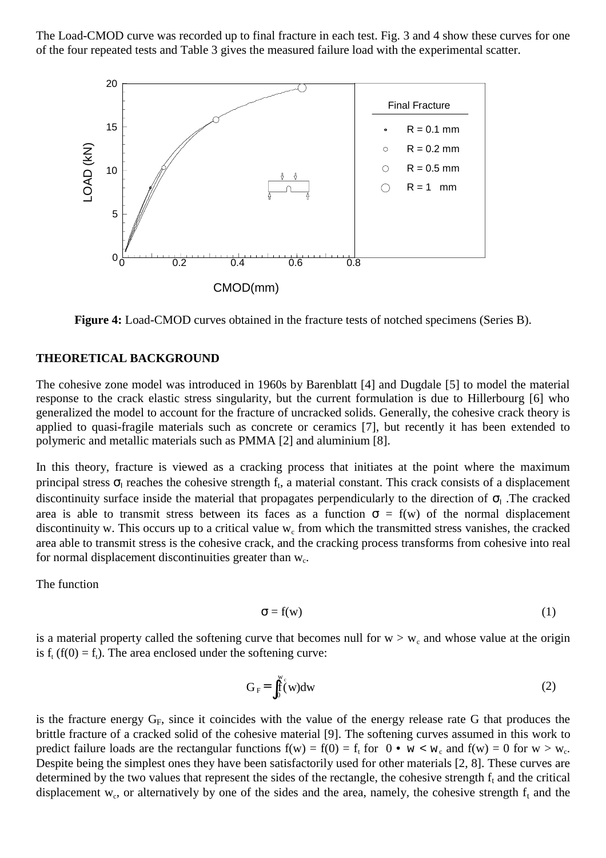The Load-CMOD curve was recorded up to final fracture in each test. Fig. 3 and 4 show these curves for one of the four repeated tests and Table 3 gives the measured failure load with the experimental scatter.



**Figure 4:** Load-CMOD curves obtained in the fracture tests of notched specimens (Series B).

### **THEORETICAL BACKGROUND**

The cohesive zone model was introduced in 1960s by Barenblatt [4] and Dugdale [5] to model the material response to the crack elastic stress singularity, but the current formulation is due to Hillerbourg [6] who generalized the model to account for the fracture of uncracked solids. Generally, the cohesive crack theory is applied to quasi-fragile materials such as concrete or ceramics [7], but recently it has been extended to polymeric and metallic materials such as PMMA [2] and aluminium [8].

In this theory, fracture is viewed as a cracking process that initiates at the point where the maximum principal stress  $\sigma_1$  reaches the cohesive strength f<sub>t</sub>, a material constant. This crack consists of a displacement discontinuity surface inside the material that propagates perpendicularly to the direction of  $\sigma_{I}$ . The cracked area is able to transmit stress between its faces as a function  $\sigma = f(w)$  of the normal displacement discontinuity w. This occurs up to a critical value  $w_c$  from which the transmitted stress vanishes, the cracked area able to transmit stress is the cohesive crack, and the cracking process transforms from cohesive into real for normal displacement discontinuities greater than  $w_c$ .

The function

$$
\sigma = f(w) \tag{1}
$$

is a material property called the softening curve that becomes null for  $w > w_c$  and whose value at the origin is  $f_t(f(0)) = f_t$ ). The area enclosed under the softening curve:

$$
G_F = \int_0^{w_c} (w) dw
$$
 (2)

is the fracture energy  $G_F$ , since it coincides with the value of the energy release rate G that produces the brittle fracture of a cracked solid of the cohesive material [9]. The softening curves assumed in this work to predict failure loads are the rectangular functions  $f(w) = f(0) = f_t$  for  $0 \cdot w < w_c$  and  $f(w) = 0$  for  $w > w_c$ . Despite being the simplest ones they have been satisfactorily used for other materials [2, 8]. These curves are determined by the two values that represent the sides of the rectangle, the cohesive strength  $f_t$  and the critical displacement w<sub>c</sub>, or alternatively by one of the sides and the area, namely, the cohesive strength  $f_t$  and the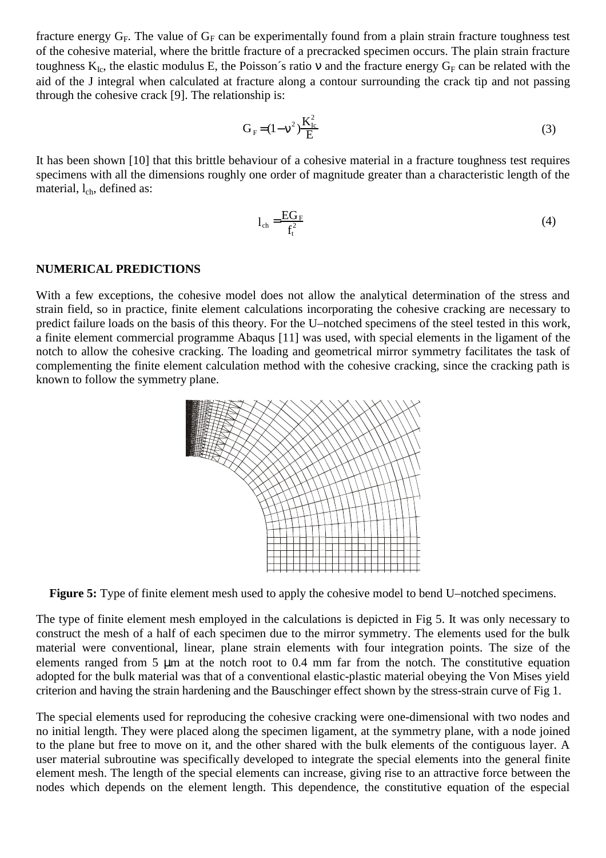fracture energy  $G_F$ . The value of  $G_F$  can be experimentally found from a plain strain fracture toughness test of the cohesive material, where the brittle fracture of a precracked specimen occurs. The plain strain fracture toughness  $K_{Ic}$ , the elastic modulus E, the Poisson's ratio v and the fracture energy  $G_F$  can be related with the aid of the J integral when calculated at fracture along a contour surrounding the crack tip and not passing through the cohesive crack [9]. The relationship is:

$$
G_F = (1 - v^2) \frac{K_E^2}{E}
$$
 (3)

It has been shown [10] that this brittle behaviour of a cohesive material in a fracture toughness test requires specimens with all the dimensions roughly one order of magnitude greater than a characteristic length of the material,  $l_{ch}$ , defined as:

$$
l_{ch} = \frac{EG_F}{f_t^2}
$$
 (4)

#### **NUMERICAL PREDICTIONS**

With a few exceptions, the cohesive model does not allow the analytical determination of the stress and strain field, so in practice, finite element calculations incorporating the cohesive cracking are necessary to predict failure loads on the basis of this theory. For the U–notched specimens of the steel tested in this work, a finite element commercial programme Abaqus [11] was used, with special elements in the ligament of the notch to allow the cohesive cracking. The loading and geometrical mirror symmetry facilitates the task of complementing the finite element calculation method with the cohesive cracking, since the cracking path is known to follow the symmetry plane.



**Figure 5:** Type of finite element mesh used to apply the cohesive model to bend U–notched specimens.

The type of finite element mesh employed in the calculations is depicted in Fig 5. It was only necessary to construct the mesh of a half of each specimen due to the mirror symmetry. The elements used for the bulk material were conventional, linear, plane strain elements with four integration points. The size of the elements ranged from 5 µm at the notch root to 0.4 mm far from the notch. The constitutive equation adopted for the bulk material was that of a conventional elastic-plastic material obeying the Von Mises yield criterion and having the strain hardening and the Bauschinger effect shown by the stress-strain curve of Fig 1.

The special elements used for reproducing the cohesive cracking were one-dimensional with two nodes and no initial length. They were placed along the specimen ligament, at the symmetry plane, with a node joined to the plane but free to move on it, and the other shared with the bulk elements of the contiguous layer. A user material subroutine was specifically developed to integrate the special elements into the general finite element mesh. The length of the special elements can increase, giving rise to an attractive force between the nodes which depends on the element length. This dependence, the constitutive equation of the especial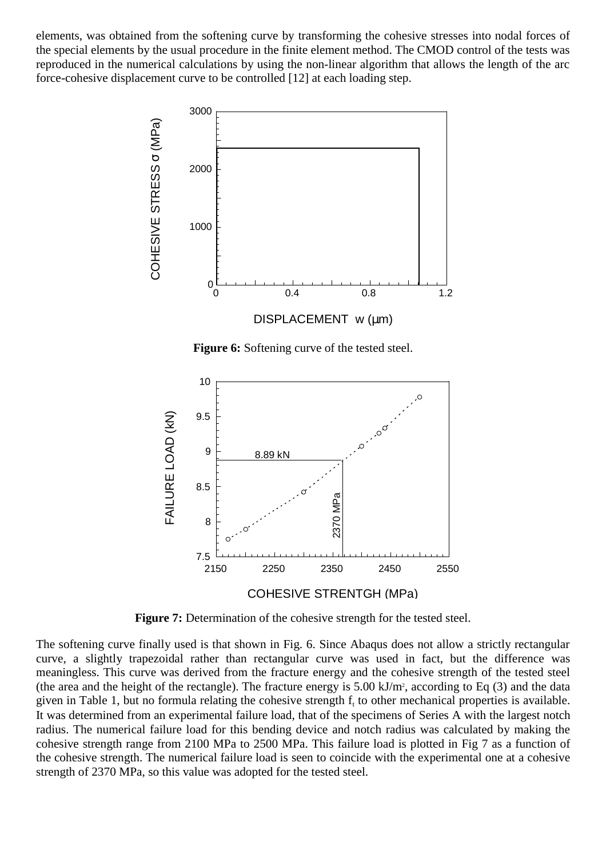elements, was obtained from the softening curve by transforming the cohesive stresses into nodal forces of the special elements by the usual procedure in the finite element method. The CMOD control of the tests was reproduced in the numerical calculations by using the non-linear algorithm that allows the length of the arc force-cohesive displacement curve to be controlled [12] at each loading step.



**Figure 6:** Softening curve of the tested steel.



**Figure 7:** Determination of the cohesive strength for the tested steel.

The softening curve finally used is that shown in Fig. 6. Since Abaqus does not allow a strictly rectangular curve, a slightly trapezoidal rather than rectangular curve was used in fact, but the difference was meaningless. This curve was derived from the fracture energy and the cohesive strength of the tested steel (the area and the height of the rectangle). The fracture energy is  $5.00 \text{ kJ/m}$ , according to Eq (3) and the data given in Table 1, but no formula relating the cohesive strength  $f_t$  to other mechanical properties is available. It was determined from an experimental failure load, that of the specimens of Series A with the largest notch radius. The numerical failure load for this bending device and notch radius was calculated by making the cohesive strength range from 2100 MPa to 2500 MPa. This failure load is plotted in Fig 7 as a function of the cohesive strength. The numerical failure load is seen to coincide with the experimental one at a cohesive strength of 2370 MPa, so this value was adopted for the tested steel.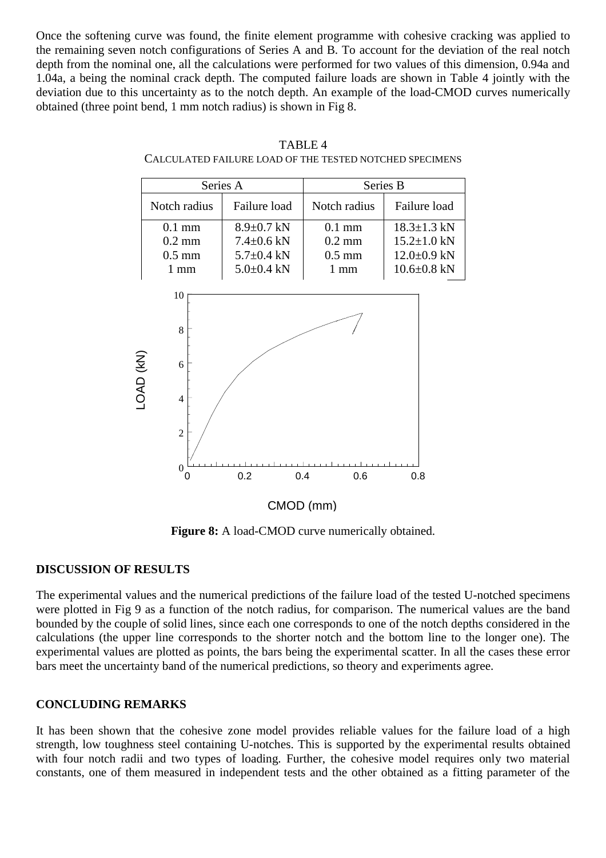Once the softening curve was found, the finite element programme with cohesive cracking was applied to the remaining seven notch configurations of Series A and B. To account for the deviation of the real notch depth from the nominal one, all the calculations were performed for two values of this dimension, 0.94a and 1.04a, a being the nominal crack depth. The computed failure loads are shown in Table 4 jointly with the deviation due to this uncertainty as to the notch depth. An example of the load-CMOD curves numerically obtained (three point bend, 1 mm notch radius) is shown in Fig 8.



TABLE 4 CALCULATED FAILURE LOAD OF THE TESTED NOTCHED SPECIMENS

**Figure 8:** A load-CMOD curve numerically obtained.

# **DISCUSSION OF RESULTS**

The experimental values and the numerical predictions of the failure load of the tested U-notched specimens were plotted in Fig 9 as a function of the notch radius, for comparison. The numerical values are the band bounded by the couple of solid lines, since each one corresponds to one of the notch depths considered in the calculations (the upper line corresponds to the shorter notch and the bottom line to the longer one). The experimental values are plotted as points, the bars being the experimental scatter. In all the cases these error bars meet the uncertainty band of the numerical predictions, so theory and experiments agree.

# **CONCLUDING REMARKS**

It has been shown that the cohesive zone model provides reliable values for the failure load of a high strength, low toughness steel containing U-notches. This is supported by the experimental results obtained with four notch radii and two types of loading. Further, the cohesive model requires only two material constants, one of them measured in independent tests and the other obtained as a fitting parameter of the